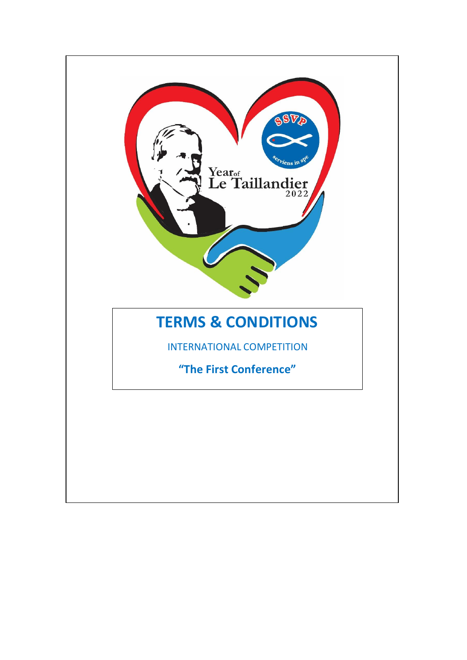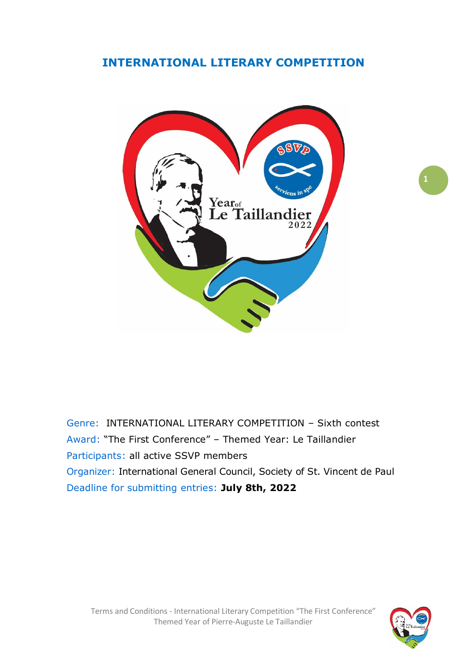## **INTERNATIONAL LITERARY COMPETITION**



Genre: INTERNATIONAL LITERARY COMPETITION – Sixth contest Award: "The First Conference" – Themed Year: Le Taillandier Participants: all active SSVP members Organizer: International General Council, Society of St. Vincent de Paul Deadline for submitting entries: **July 8th, 2022**

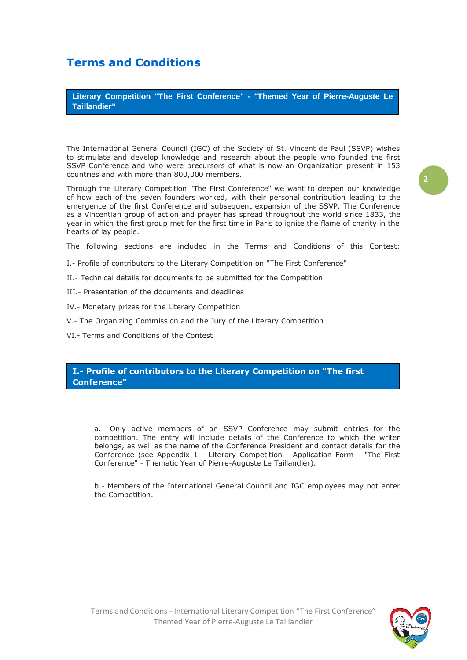# **Terms and Conditions**

**Literary Competition "The First Conference" - "Themed Year of Pierre-Auguste Le Taillandier"**

The International General Council (IGC) of the Society of St. Vincent de Paul (SSVP) wishes to stimulate and develop knowledge and research about the people who founded the first SSVP Conference and who were precursors of what is now an Organization present in 153 countries and with more than 800,000 members.

Through the Literary Competition "The First Conference" we want to deepen our knowledge of how each of the seven founders worked, with their personal contribution leading to the emergence of the first Conference and subsequent expansion of the SSVP. The Conference as a Vincentian group of action and prayer has spread throughout the world since 1833, the year in which the first group met for the first time in Paris to ignite the flame of charity in the hearts of lay people.

The following sections are included in the Terms and Conditions of this Contest:

- I.- Profile of contributors to the Literary Competition on "The First Conference"
- II.- Technical details for documents to be submitted for the Competition
- III.- Presentation of the documents and deadlines
- IV.- Monetary prizes for the Literary Competition
- V.- The Organizing Commission and the Jury of the Literary Competition
- VI.- Terms and Conditions of the Contest

#### **I.- Profile of contributors to the Literary Competition on "The first Conference"**

a.- Only active members of an SSVP Conference may submit entries for the competition. The entry will include details of the Conference to which the writer belongs, as well as the name of the Conference President and contact details for the Conference (see Appendix 1 - Literary Competition - Application Form - "The First Conference" - Thematic Year of Pierre-Auguste Le Taillandier).

b.- Members of the International General Council and IGC employees may not enter the Competition.

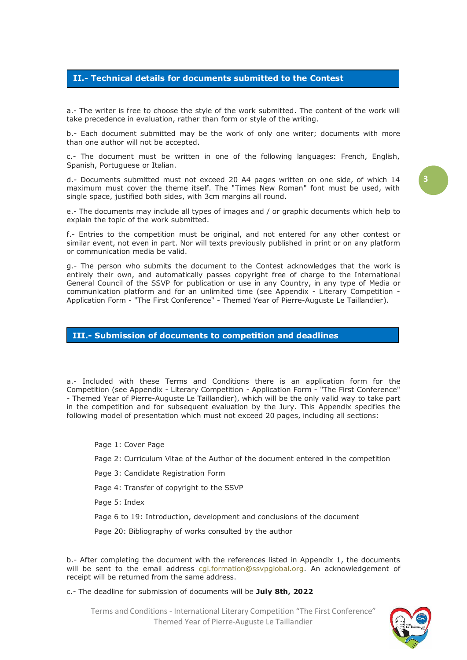#### **II.- Technical details for documents submitted to the Contest**

a.- The writer is free to choose the style of the work submitted. The content of the work will take precedence in evaluation, rather than form or style of the writing.

b.- Each document submitted may be the work of only one writer; documents with more than one author will not be accepted.

c.- The document must be written in one of the following languages: French, English, Spanish, Portuguese or Italian.

d.- Documents submitted must not exceed 20 A4 pages written on one side, of which 14 maximum must cover the theme itself. The "Times New Roman" font must be used, with single space, justified both sides, with 3cm margins all round.

e.- The documents may include all types of images and / or graphic documents which help to explain the topic of the work submitted.

f.- Entries to the competition must be original, and not entered for any other contest or similar event, not even in part. Nor will texts previously published in print or on any platform or communication media be valid.

g.- The person who submits the document to the Contest acknowledges that the work is entirely their own, and automatically passes copyright free of charge to the International General Council of the SSVP for publication or use in any Country, in any type of Media or communication platform and for an unlimited time (see Appendix - Literary Competition - Application Form - "The First Conference" - Themed Year of Pierre-Auguste Le Taillandier).

#### **III.- Submission of documents to competition and deadlines**

a.- Included with these Terms and Conditions there is an application form for the Competition (see Appendix - Literary Competition - Application Form - "The First Conference" - Themed Year of Pierre-Auguste Le Taillandier), which will be the only valid way to take part in the competition and for subsequent evaluation by the Jury. This Appendix specifies the following model of presentation which must not exceed 20 pages, including all sections:

Page 1: Cover Page

Page 2: Curriculum Vitae of the Author of the document entered in the competition

Page 3: Candidate Registration Form

Page 4: Transfer of copyright to the SSVP

Page 5: Index

Page 6 to 19: Introduction, development and conclusions of the document

Page 20: Bibliography of works consulted by the author

b.- After completing the document with the references listed in Appendix 1, the documents will be sent to the email address [cgi.formation@ssvpglobal.org.](mailto:cgi.formation@ssvpglobal.org) An acknowledgement of receipt will be returned from the same address.

c.- The deadline for submission of documents will be **July 8th, 2022**

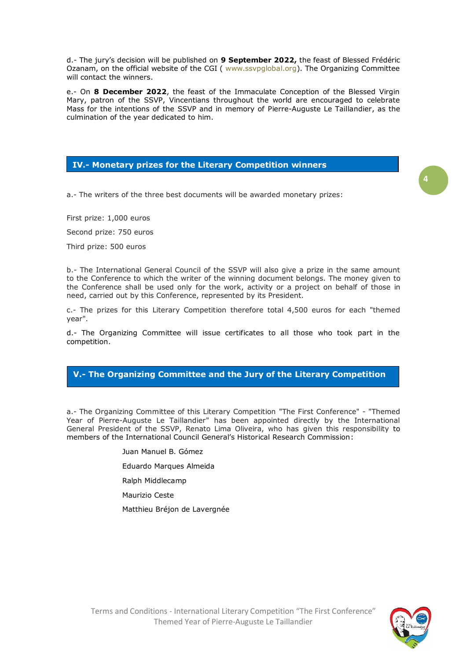d.- The jury's decision will be published on **9 September 2022,** the feast of Blessed Frédéric Ozanam, on the official website of the CGI ( [www.ssvpglobal.org\)](http://www.ssvpglobal.org/). The Organizing Committee will contact the winners.

e.- On **8 December 2022**, the feast of the Immaculate Conception of the Blessed Virgin Mary, patron of the SSVP, Vincentians throughout the world are encouraged to celebrate Mass for the intentions of the SSVP and in memory of Pierre-Auguste Le Taillandier, as the culmination of the year dedicated to him.

#### **IV.- Monetary prizes for the Literary Competition winners**

a.- The writers of the three best documents will be awarded monetary prizes:

First prize: 1,000 euros

Second prize: 750 euros

Third prize: 500 euros

b.- The International General Council of the SSVP will also give a prize in the same amount to the Conference to which the writer of the winning document belongs. The money given to the Conference shall be used only for the work, activity or a project on behalf of those in need, carried out by this Conference, represented by its President.

c.- The prizes for this Literary Competition therefore total 4,500 euros for each "themed year".

d.- The Organizing Committee will issue certificates to all those who took part in the competition.

#### **V.- The Organizing Committee and the Jury of the Literary Competition**

a.- The Organizing Committee of this Literary Competition "The First Conference" - "Themed Year of Pierre-Auguste Le Taillandier" has been appointed directly by the International General President of the SSVP, Renato Lima Oliveira, who has given this responsibility to members of the International Council General's Historical Research Commission:

- Juan Manuel B. Gómez
- Eduardo Marques Almeida
- Ralph Middlecamp
- Maurizio Ceste
- Matthieu Bréjon de Lavergnée